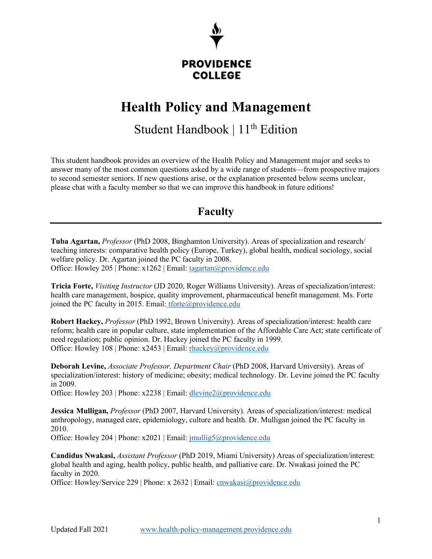

#### **PROVIDENCE COLLEGE**

# **Health Policy and Management**

# Student Handbook  $|11^{th}$  Edition

This student handbook provides an overview of the Health Policy and Management major and seeks to answer many of the most common questions asked by a wide range of students—from prospective majors to second semester seniors. If new questions arise, or the explanation presented below seems unclear, please chat with a faculty member so that we can improve this handbook in future editions!

# **Faculty**

**Tuba Agartan,** *Professor* (PhD 2008, Binghamton University). Areas of specialization and research/ teaching interests: comparative health policy (Europe, Turkey), global health, medical sociology, social welfare policy. Dr. Agartan joined the PC faculty in 2008. Office: Howley 205 | Phone: x1262 | Email: [tagartan@providence.edu](mailto:tagartan@providence.edu)

**Tricia Forte,** *Visiting Instructor* (JD 2020, Roger Williams University). Areas of specialization/interest: health care management, hospice, quality improvement, pharmaceutical benefit management. Ms. Forte joined the PC faculty in 2015. Email: [tforte@providence.edu](mailto:tforte@providence.edu)

**Robert Hackey,** *Professor* (PhD 1992, Brown University). Areas of specialization/interest: health care reform; health care in popular culture, state implementation of the Affordable Care Act; state certificate of need regulation; public opinion. Dr. Hackey joined the PC faculty in 1999. Office: Howley 108 | Phone: x2453 | Email: [rhackey@providence.edu](mailto:rhackey@providence.edu)

**Deborah Levine,** *Associate Professor, Department Chair* (PhD 2008, Harvard University). Areas of specialization/interest: history of medicine; obesity; medical technology. Dr. Levine joined the PC faculty in 2009.

Office: Howley 203 | Phone: x2238 | Email: [dlevine2@providence.edu](mailto:dlevine2@providence.edu)

**Jessica Mulligan,** *Professor* (PhD 2007, Harvard University). Areas of specialization/interest: medical anthropology, managed care, epidemiology, culture and health. Dr. Mulligan joined the PC faculty in 2010.

Office: Howley 204 | Phone: x2021 | Email: [jmullig5@providence.edu](mailto:jmullig5@providence.edu)

**Candidus Nwakasi,** *Assistant Professor* (PhD 2019, Miami University) Areas of specialization/interest: global health and aging, health policy, public health, and palliative care. Dr. Nwakasi joined the PC faculty in 2020.

Office: Howley/Service 229 | Phone: x 2632 | Email: [cnwakasi@providence.edu](mailto:cnwakasi@providence.edu)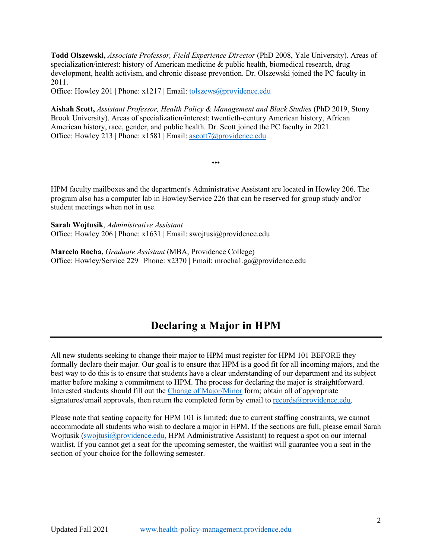**Todd Olszewski,** *Associate Professor, Field Experience Director* (PhD 2008, Yale University). Areas of specialization/interest: history of American medicine & public health, biomedical research, drug development, health activism, and chronic disease prevention. Dr. Olszewski joined the PC faculty in 2011.

Office: Howley 201 | Phone: x1217 | Email: [tolszews@providence.edu](mailto:tolszews@providence.edu)

**Aishah Scott,** *Assistant Professor, Health Policy & Management and Black Studies* (PhD 2019, Stony Brook University). Areas of specialization/interest: twentieth-century American history, African American history, race, gender, and public health. Dr. Scott joined the PC faculty in 2021. Office: Howley 213 | Phone: x1581 | Email: [ascott7@providence.edu](mailto:ascott7@providence.edu)

•••

HPM faculty mailboxes and the department's Administrative Assistant are located in Howley 206. The program also has a computer lab in Howley/Service 226 that can be reserved for group study and/or student meetings when not in use.

**Sarah Wojtusik**, *Administrative Assistant* Office: Howley 206 | Phone: x1631 | Email: swojtusi@providence.edu

**Marcelo Rocha,** *Graduate Assistant* (MBA, Providence College) Office: Howley/Service 229 | Phone: x2370 | Email: mrocha1.ga@providence.edu

## **Declaring a Major in HPM**

All new students seeking to change their major to HPM must register for HPM 101 BEFORE they formally declare their major. Our goal is to ensure that HPM is a good fit for all incoming majors, and the best way to do this is to ensure that students have a clear understanding of our department and its subject matter before making a commitment to HPM. The process for declaring the major is straightforward. Interested students should fill out the [Change of Major/Minor](https://cpb-us-e1.wpmucdn.com/sites.providence.edu/dist/f/100/files/2021/04/Change-of-Major-Minor.pdf) form; obtain all of appropriate signatures/email approvals, then return the completed form by email to  $records@provided$ .</u>

Please note that seating capacity for HPM 101 is limited; due to current staffing constraints, we cannot accommodate all students who wish to declare a major in HPM. If the sections are full, please email Sarah Wojtusik [\(swojtusi@providence.edu,](mailto:swojtusi@providence.edu) HPM Administrative Assistant) to request a spot on our internal waitlist. If you cannot get a seat for the upcoming semester, the waitlist will guarantee you a seat in the section of your choice for the following semester.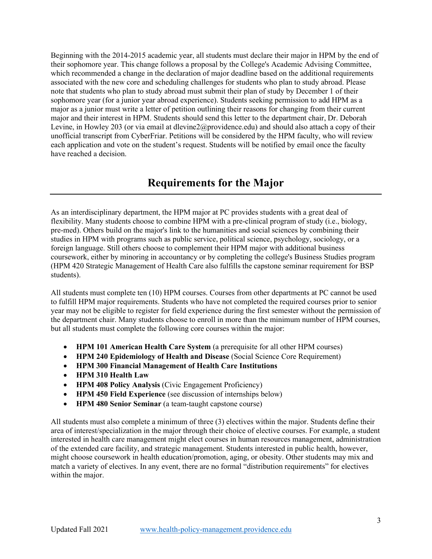Beginning with the 2014-2015 academic year, all students must declare their major in HPM by the end of their sophomore year. This change follows a proposal by the College's Academic Advising Committee, which recommended a change in the declaration of major deadline based on the additional requirements associated with the new core and scheduling challenges for students who plan to study abroad. Please note that students who plan to study abroad must submit their plan of study by December 1 of their sophomore year (for a junior year abroad experience). Students seeking permission to add HPM as a major as a junior must write a letter of petition outlining their reasons for changing from their current major and their interest in HPM. Students should send this letter to the department chair, Dr. Deborah Levine, in Howley 203 (or via email at dlevine2@providence.edu) and should also attach a copy of their unofficial transcript from CyberFriar. Petitions will be considered by the HPM faculty, who will review each application and vote on the student's request. Students will be notified by email once the faculty have reached a decision.

#### **Requirements for the Major**

As an interdisciplinary department, the HPM major at PC provides students with a great deal of flexibility. Many students choose to combine HPM with a pre-clinical program of study (i.e., biology, pre-med). Others build on the major's link to the humanities and social sciences by combining their studies in HPM with programs such as public service, political science, psychology, sociology, or a foreign language. Still others choose to complement their HPM major with additional business coursework, either by minoring in accountancy or by completing the college's Business Studies program (HPM 420 Strategic Management of Health Care also fulfills the capstone seminar requirement for BSP students).

All students must complete ten (10) HPM courses. Courses from other departments at PC cannot be used to fulfill HPM major requirements. Students who have not completed the required courses prior to senior year may not be eligible to register for field experience during the first semester without the permission of the department chair. Many students choose to enroll in more than the minimum number of HPM courses, but all students must complete the following core courses within the major:

- **HPM 101 American Health Care System** (a prerequisite for all other HPM courses)
- **HPM 240 Epidemiology of Health and Disease** (Social Science Core Requirement)
- **HPM 300 Financial Management of Health Care Institutions**
- **HPM 310 Health Law**
- **HPM 408 Policy Analysis** (Civic Engagement Proficiency)
- **HPM 450 Field Experience** (see discussion of internships below)
- **HPM 480 Senior Seminar** (a team-taught capstone course)

All students must also complete a minimum of three (3) electives within the major. Students define their area of interest/specialization in the major through their choice of elective courses. For example, a student interested in health care management might elect courses in human resources management, administration of the extended care facility, and strategic management. Students interested in public health, however, might choose coursework in health education/promotion, aging, or obesity. Other students may mix and match a variety of electives. In any event, there are no formal "distribution requirements" for electives within the major.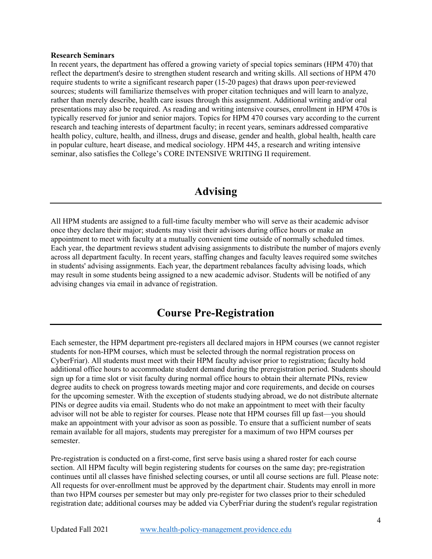#### **Research Seminars**

In recent years, the department has offered a growing variety of special topics seminars (HPM 470) that reflect the department's desire to strengthen student research and writing skills. All sections of HPM 470 require students to write a significant research paper (15-20 pages) that draws upon peer-reviewed sources; students will familiarize themselves with proper citation techniques and will learn to analyze, rather than merely describe, health care issues through this assignment. Additional writing and/or oral presentations may also be required. As reading and writing intensive courses, enrollment in HPM 470s is typically reserved for junior and senior majors. Topics for HPM 470 courses vary according to the current research and teaching interests of department faculty; in recent years, seminars addressed comparative health policy, culture, health, and illness, drugs and disease, gender and health, global health, health care in popular culture, heart disease, and medical sociology. HPM 445, a research and writing intensive seminar, also satisfies the College's CORE INTENSIVE WRITING II requirement.

## **Advising**

All HPM students are assigned to a full-time faculty member who will serve as their academic advisor once they declare their major; students may visit their advisors during office hours or make an appointment to meet with faculty at a mutually convenient time outside of normally scheduled times. Each year, the department reviews student advising assignments to distribute the number of majors evenly across all department faculty. In recent years, staffing changes and faculty leaves required some switches in students' advising assignments. Each year, the department rebalances faculty advising loads, which may result in some students being assigned to a new academic advisor. Students will be notified of any advising changes via email in advance of registration.

## **Course Pre-Registration**

Each semester, the HPM department pre-registers all declared majors in HPM courses (we cannot register students for non-HPM courses, which must be selected through the normal registration process on CyberFriar). All students must meet with their HPM faculty advisor prior to registration; faculty hold additional office hours to accommodate student demand during the preregistration period. Students should sign up for a time slot or visit faculty during normal office hours to obtain their alternate PINs, review degree audits to check on progress towards meeting major and core requirements, and decide on courses for the upcoming semester. With the exception of students studying abroad, we do not distribute alternate PINs or degree audits via email. Students who do not make an appointment to meet with their faculty advisor will not be able to register for courses. Please note that HPM courses fill up fast—you should make an appointment with your advisor as soon as possible. To ensure that a sufficient number of seats remain available for all majors, students may preregister for a maximum of two HPM courses per semester.

Pre-registration is conducted on a first-come, first serve basis using a shared roster for each course section. All HPM faculty will begin registering students for courses on the same day; pre-registration continues until all classes have finished selecting courses, or until all course sections are full. Please note: All requests for over-enrollment must be approved by the department chair. Students may enroll in more than two HPM courses per semester but may only pre-register for two classes prior to their scheduled registration date; additional courses may be added via CyberFriar during the student's regular registration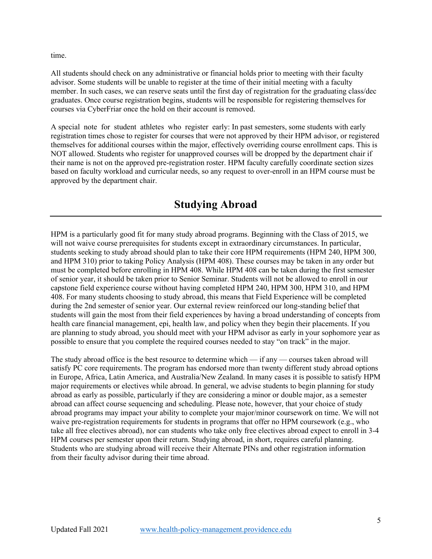time.

All students should check on any administrative or financial holds prior to meeting with their faculty advisor. Some students will be unable to register at the time of their initial meeting with a faculty member. In such cases, we can reserve seats until the first day of registration for the graduating class/dec graduates. Once course registration begins, students will be responsible for registering themselves for courses via CyberFriar once the hold on their account is removed.

A special note for student athletes who register early: In past semesters, some students with early registration times chose to register for courses that were not approved by their HPM advisor, or registered themselves for additional courses within the major, effectively overriding course enrollment caps. This is NOT allowed. Students who register for unapproved courses will be dropped by the department chair if their name is not on the approved pre-registration roster. HPM faculty carefully coordinate section sizes based on faculty workload and curricular needs, so any request to over-enroll in an HPM course must be approved by the department chair.

# **Studying Abroad**

HPM is a particularly good fit for many study abroad programs. Beginning with the Class of 2015, we will not waive course prerequisites for students except in extraordinary circumstances. In particular, students seeking to study abroad should plan to take their core HPM requirements (HPM 240, HPM 300, and HPM 310) prior to taking Policy Analysis (HPM 408). These courses may be taken in any order but must be completed before enrolling in HPM 408. While HPM 408 can be taken during the first semester of senior year, it should be taken prior to Senior Seminar. Students will not be allowed to enroll in our capstone field experience course without having completed HPM 240, HPM 300, HPM 310, and HPM 408. For many students choosing to study abroad, this means that Field Experience will be completed during the 2nd semester of senior year. Our external review reinforced our long-standing belief that students will gain the most from their field experiences by having a broad understanding of concepts from health care financial management, epi, health law, and policy when they begin their placements. If you are planning to study abroad, you should meet with your HPM advisor as early in your sophomore year as possible to ensure that you complete the required courses needed to stay "on track" in the major.

The study abroad office is the best resource to determine which — if any — courses taken abroad will satisfy PC core requirements. The program has endorsed more than twenty different study abroad options in Europe, Africa, Latin America, and Australia/New Zealand. In many cases it is possible to satisfy HPM major requirements or electives while abroad. In general, we advise students to begin planning for study abroad as early as possible, particularly if they are considering a minor or double major, as a semester abroad can affect course sequencing and scheduling. Please note, however, that your choice of study abroad programs may impact your ability to complete your major/minor coursework on time. We will not waive pre-registration requirements for students in programs that offer no HPM coursework (e.g., who take all free electives abroad), nor can students who take only free electives abroad expect to enroll in 3-4 HPM courses per semester upon their return. Studying abroad, in short, requires careful planning. Students who are studying abroad will receive their Alternate PINs and other registration information from their faculty advisor during their time abroad.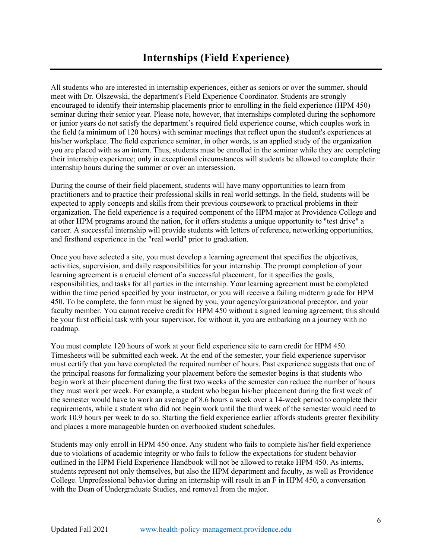All students who are interested in internship experiences, either as seniors or over the summer, should meet with Dr. Olszewski, the department's Field Experience Coordinator. Students are strongly encouraged to identify their internship placements prior to enrolling in the field experience (HPM 450) seminar during their senior year. Please note, however, that internships completed during the sophomore or junior years do not satisfy the department's required field experience course, which couples work in the field (a minimum of 120 hours) with seminar meetings that reflect upon the student's experiences at his/her workplace. The field experience seminar, in other words, is an applied study of the organization you are placed with as an intern. Thus, students must be enrolled in the seminar while they are completing their internship experience; only in exceptional circumstances will students be allowed to complete their internship hours during the summer or over an intersession.

During the course of their field placement, students will have many opportunities to learn from practitioners and to practice their professional skills in real world settings. In the field, students will be expected to apply concepts and skills from their previous coursework to practical problems in their organization. The field experience is a required component of the HPM major at Providence College and at other HPM programs around the nation, for it offers students a unique opportunity to "test drive" a career. A successful internship will provide students with letters of reference, networking opportunities, and firsthand experience in the "real world" prior to graduation.

Once you have selected a site, you must develop a learning agreement that specifies the objectives, activities, supervision, and daily responsibilities for your internship. The prompt completion of your learning agreement is a crucial element of a successful placement, for it specifies the goals, responsibilities, and tasks for all parties in the internship. Your learning agreement must be completed within the time period specified by your instructor, or you will receive a failing midterm grade for HPM 450. To be complete, the form must be signed by you, your agency/organizational preceptor, and your faculty member. You cannot receive credit for HPM 450 without a signed learning agreement; this should be your first official task with your supervisor, for without it, you are embarking on a journey with no roadmap.

You must complete 120 hours of work at your field experience site to earn credit for HPM 450. Timesheets will be submitted each week. At the end of the semester, your field experience supervisor must certify that you have completed the required number of hours. Past experience suggests that one of the principal reasons for formalizing your placement before the semester begins is that students who begin work at their placement during the first two weeks of the semester can reduce the number of hours they must work per week. For example, a student who began his/her placement during the first week of the semester would have to work an average of 8.6 hours a week over a 14-week period to complete their requirements, while a student who did not begin work until the third week of the semester would need to work 10.9 hours per week to do so. Starting the field experience earlier affords students greater flexibility and places a more manageable burden on overbooked student schedules.

Students may only enroll in HPM 450 once. Any student who fails to complete his/her field experience due to violations of academic integrity or who fails to follow the expectations for student behavior outlined in the HPM Field Experience Handbook will not be allowed to retake HPM 450. As interns, students represent not only themselves, but also the HPM department and faculty, as well as Providence College. Unprofessional behavior during an internship will result in an F in HPM 450, a conversation with the Dean of Undergraduate Studies, and removal from the major.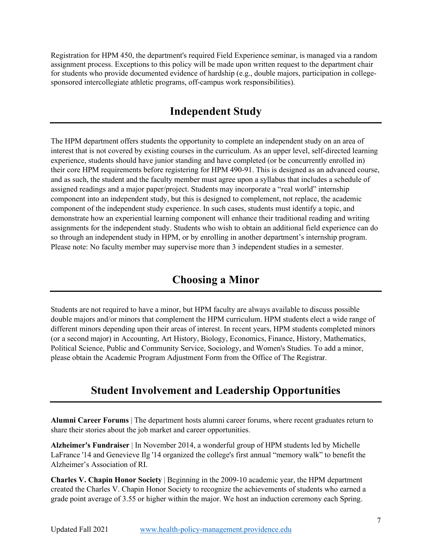Registration for HPM 450, the department's required Field Experience seminar, is managed via a random assignment process. Exceptions to this policy will be made upon written request to the department chair for students who provide documented evidence of hardship (e.g., double majors, participation in collegesponsored intercollegiate athletic programs, off-campus work responsibilities).

#### **Independent Study**

The HPM department offers students the opportunity to complete an independent study on an area of interest that is not covered by existing courses in the curriculum. As an upper level, self-directed learning experience, students should have junior standing and have completed (or be concurrently enrolled in) their core HPM requirements before registering for HPM 490-91. This is designed as an advanced course, and as such, the student and the faculty member must agree upon a syllabus that includes a schedule of assigned readings and a major paper/project. Students may incorporate a "real world" internship component into an independent study, but this is designed to complement, not replace, the academic component of the independent study experience. In such cases, students must identify a topic, and demonstrate how an experiential learning component will enhance their traditional reading and writing assignments for the independent study. Students who wish to obtain an additional field experience can do so through an independent study in HPM, or by enrolling in another department's internship program. Please note: No faculty member may supervise more than 3 independent studies in a semester.

#### **Choosing a Minor**

Students are not required to have a minor, but HPM faculty are always available to discuss possible double majors and/or minors that complement the HPM curriculum. HPM students elect a wide range of different minors depending upon their areas of interest. In recent years, HPM students completed minors (or a second major) in Accounting, Art History, Biology, Economics, Finance, History, Mathematics, Political Science, Public and Community Service, Sociology, and Women's Studies. To add a minor, please obtain the Academic Program Adjustment Form from the Office of The Registrar.

#### **Student Involvement and Leadership Opportunities**

**Alumni Career Forums** | The department hosts alumni career forums, where recent graduates return to share their stories about the job market and career opportunities.

**Alzheimer's Fundraiser** | In November 2014, a wonderful group of HPM students led by Michelle LaFrance '14 and Genevieve Ilg '14 organized the college's first annual "memory walk" to benefit the Alzheimer's Association of RI.

**Charles V. Chapin Honor Society** | Beginning in the 2009-10 academic year, the HPM department created the Charles V. Chapin Honor Society to recognize the achievements of students who earned a grade point average of 3.55 or higher within the major. We host an induction ceremony each Spring.